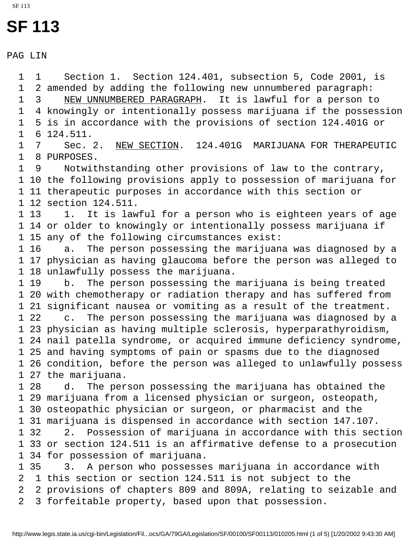SF 113

PAG LIN

 1 1 Section 1. Section 124.401, subsection 5, Code 2001, is 1 2 amended by adding the following new unnumbered paragraph: 1 3 NEW UNNUMBERED PARAGRAPH. It is lawful for a person to 1 4 knowingly or intentionally possess marijuana if the possession 1 5 is in accordance with the provisions of section 124.401G or 1 6 124.511. 1 7 Sec. 2. NEW SECTION. 124.401G MARIJUANA FOR THERAPEUTIC 1 8 PURPOSES. 1 9 Notwithstanding other provisions of law to the contrary, 1 10 the following provisions apply to possession of marijuana for 1 11 therapeutic purposes in accordance with this section or 1 12 section 124.511. 1 13 1. It is lawful for a person who is eighteen years of age 1 14 or older to knowingly or intentionally possess marijuana if 1 15 any of the following circumstances exist: 1 16 a. The person possessing the marijuana was diagnosed by a 1 17 physician as having glaucoma before the person was alleged to 1 18 unlawfully possess the marijuana. 1 19 b. The person possessing the marijuana is being treated 1 20 with chemotherapy or radiation therapy and has suffered from 1 21 significant nausea or vomiting as a result of the treatment. 1 22 c. The person possessing the marijuana was diagnosed by a 1 23 physician as having multiple sclerosis, hyperparathyroidism, 1 24 nail patella syndrome, or acquired immune deficiency syndrome, 1 25 and having symptoms of pain or spasms due to the diagnosed 1 26 condition, before the person was alleged to unlawfully possess 1 27 the marijuana. 1 28 d. The person possessing the marijuana has obtained the 1 29 marijuana from a licensed physician or surgeon, osteopath, 1 30 osteopathic physician or surgeon, or pharmacist and the 1 31 marijuana is dispensed in accordance with section 147.107. 1 32 2. Possession of marijuana in accordance with this section 1 33 or section 124.511 is an affirmative defense to a prosecution 1 34 for possession of marijuana. 1 35 3. A person who possesses marijuana in accordance with 2 1 this section or section 124.511 is not subject to the 2 2 provisions of chapters 809 and 809A, relating to seizable and 2 3 forfeitable property, based upon that possession.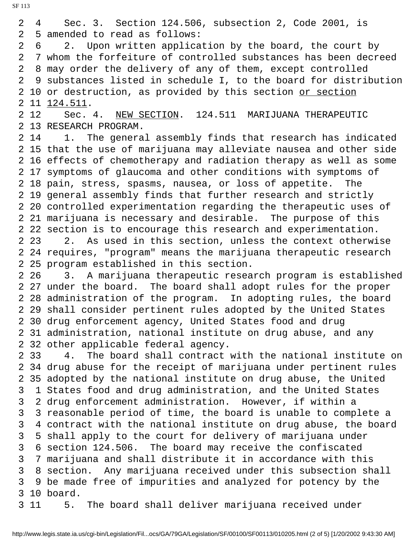2 4 Sec. 3. Section 124.506, subsection 2, Code 2001, is 2 5 amended to read as follows:

 2 6 2. Upon written application by the board, the court by 2 7 whom the forfeiture of controlled substances has been decreed 2 8 may order the delivery of any of them, except controlled 2 9 substances listed in schedule I, to the board for distribution 2 10 or destruction, as provided by this section or section 2 11 124.511.

 2 12 Sec. 4. NEW SECTION. 124.511 MARIJUANA THERAPEUTIC 2 13 RESEARCH PROGRAM.

2 14 1. The general assembly finds that research has indicated 2 15 that the use of marijuana may alleviate nausea and other side 2 16 effects of chemotherapy and radiation therapy as well as some 2 17 symptoms of glaucoma and other conditions with symptoms of 2 18 pain, stress, spasms, nausea, or loss of appetite. The 2 19 general assembly finds that further research and strictly 2 20 controlled experimentation regarding the therapeutic uses of 2 21 marijuana is necessary and desirable. The purpose of this 2 22 section is to encourage this research and experimentation. 2 23 2. As used in this section, unless the context otherwise 2 24 requires, "program" means the marijuana therapeutic research 2 25 program established in this section.

 2 26 3. A marijuana therapeutic research program is established 2 27 under the board. The board shall adopt rules for the proper 2 28 administration of the program. In adopting rules, the board 2 29 shall consider pertinent rules adopted by the United States 2 30 drug enforcement agency, United States food and drug 2 31 administration, national institute on drug abuse, and any 2 32 other applicable federal agency.

 2 33 4. The board shall contract with the national institute on 2 34 drug abuse for the receipt of marijuana under pertinent rules 2 35 adopted by the national institute on drug abuse, the United 3 1 States food and drug administration, and the United States 3 2 drug enforcement administration. However, if within a 3 3 reasonable period of time, the board is unable to complete a 3 4 contract with the national institute on drug abuse, the board 3 5 shall apply to the court for delivery of marijuana under 3 6 section 124.506. The board may receive the confiscated 3 7 marijuana and shall distribute it in accordance with this 3 8 section. Any marijuana received under this subsection shall 3 9 be made free of impurities and analyzed for potency by the 3 10 board. 3 11 5. The board shall deliver marijuana received under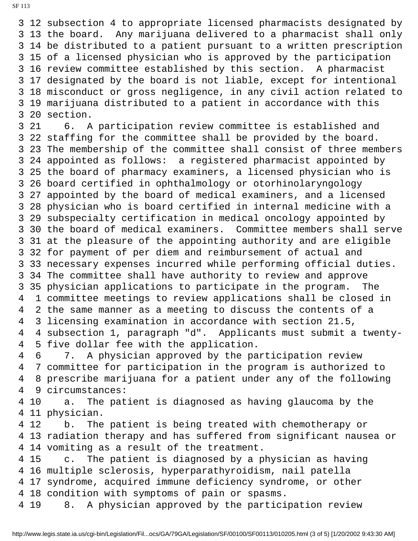3 12 subsection 4 to appropriate licensed pharmacists designated by 3 13 the board. Any marijuana delivered to a pharmacist shall only 3 14 be distributed to a patient pursuant to a written prescription 3 15 of a licensed physician who is approved by the participation 3 16 review committee established by this section. A pharmacist 3 17 designated by the board is not liable, except for intentional 3 18 misconduct or gross negligence, in any civil action related to 3 19 marijuana distributed to a patient in accordance with this 3 20 section.

 3 21 6. A participation review committee is established and 3 22 staffing for the committee shall be provided by the board. 3 23 The membership of the committee shall consist of three members 3 24 appointed as follows: a registered pharmacist appointed by 3 25 the board of pharmacy examiners, a licensed physician who is 3 26 board certified in ophthalmology or otorhinolaryngology 3 27 appointed by the board of medical examiners, and a licensed 3 28 physician who is board certified in internal medicine with a 3 29 subspecialty certification in medical oncology appointed by 3 30 the board of medical examiners. Committee members shall serve 3 31 at the pleasure of the appointing authority and are eligible 3 32 for payment of per diem and reimbursement of actual and 3 33 necessary expenses incurred while performing official duties. 3 34 The committee shall have authority to review and approve 3 35 physician applications to participate in the program. The 4 1 committee meetings to review applications shall be closed in 4 2 the same manner as a meeting to discuss the contents of a 4 3 licensing examination in accordance with section 21.5, 4 4 subsection 1, paragraph "d". Applicants must submit a twenty- 4 5 five dollar fee with the application.

 4 6 7. A physician approved by the participation review 4 7 committee for participation in the program is authorized to 4 8 prescribe marijuana for a patient under any of the following 4 9 circumstances:

 4 10 a. The patient is diagnosed as having glaucoma by the 4 11 physician.

 4 12 b. The patient is being treated with chemotherapy or 4 13 radiation therapy and has suffered from significant nausea or 4 14 vomiting as a result of the treatment.

 4 15 c. The patient is diagnosed by a physician as having 4 16 multiple sclerosis, hyperparathyroidism, nail patella 4 17 syndrome, acquired immune deficiency syndrome, or other 4 18 condition with symptoms of pain or spasms.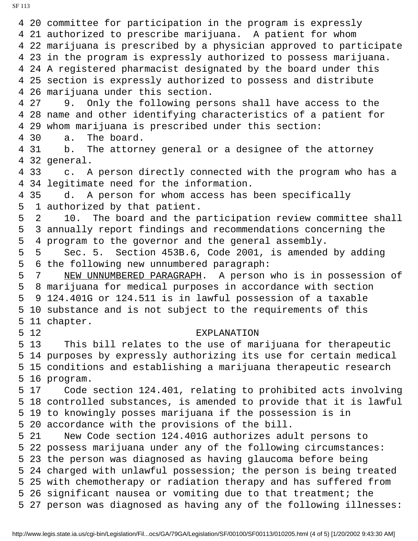4 20 committee for participation in the program is expressly 4 21 authorized to prescribe marijuana. A patient for whom 4 22 marijuana is prescribed by a physician approved to participate 4 23 in the program is expressly authorized to possess marijuana. 4 24 A registered pharmacist designated by the board under this 4 25 section is expressly authorized to possess and distribute 4 26 marijuana under this section. 4 27 9. Only the following persons shall have access to the 4 28 name and other identifying characteristics of a patient for 4 29 whom marijuana is prescribed under this section: 4 30 a. The board. 4 31 b. The attorney general or a designee of the attorney 4 32 general. 4 33 c. A person directly connected with the program who has a 4 34 legitimate need for the information. 4 35 d. A person for whom access has been specifically 5 1 authorized by that patient. 5 2 10. The board and the participation review committee shall 5 3 annually report findings and recommendations concerning the 5 4 program to the governor and the general assembly. 5 5 Sec. 5. Section 453B.6, Code 2001, is amended by adding 5 6 the following new unnumbered paragraph: 5 7 NEW UNNUMBERED PARAGRAPH. A person who is in possession of 5 8 marijuana for medical purposes in accordance with section 5 9 124.401G or 124.511 is in lawful possession of a taxable 5 10 substance and is not subject to the requirements of this 5 11 chapter. 5 12 EXPLANATION 5 13 This bill relates to the use of marijuana for therapeutic 5 14 purposes by expressly authorizing its use for certain medical 5 15 conditions and establishing a marijuana therapeutic research 5 16 program. 5 17 Code section 124.401, relating to prohibited acts involving 5 18 controlled substances, is amended to provide that it is lawful 5 19 to knowingly posses marijuana if the possession is in 5 20 accordance with the provisions of the bill. 5 21 New Code section 124.401G authorizes adult persons to 5 22 possess marijuana under any of the following circumstances: 5 23 the person was diagnosed as having glaucoma before being 5 24 charged with unlawful possession; the person is being treated 5 25 with chemotherapy or radiation therapy and has suffered from 5 26 significant nausea or vomiting due to that treatment; the 5 27 person was diagnosed as having any of the following illnesses: